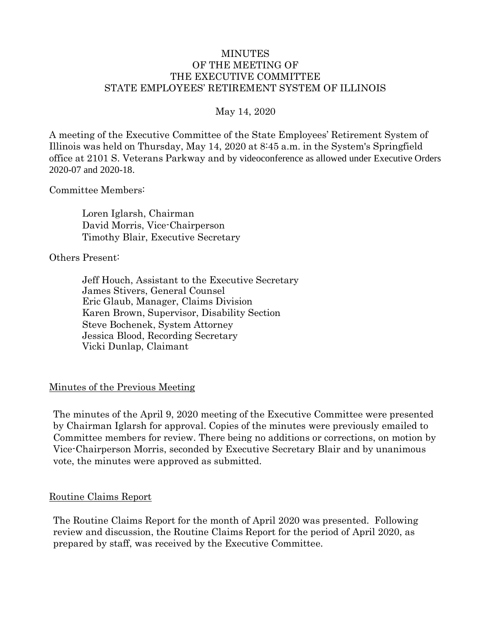### MINUTES OF THE MEETING OF THE EXECUTIVE COMMITTEE STATE EMPLOYEES' RETIREMENT SYSTEM OF ILLINOIS

### May 14, 2020

A meeting of the Executive Committee of the State Employees' Retirement System of Illinois was held on Thursday, May 14, 2020 at 8:45 a.m. in the System's Springfield office at 2101 S. Veterans Parkway and by videoconference as allowed under Executive Orders 2020-07 and 2020-18.

#### Committee Members:

Loren Iglarsh, Chairman David Morris, Vice-Chairperson Timothy Blair, Executive Secretary

#### Others Present:

Jeff Houch, Assistant to the Executive Secretary James Stivers, General Counsel Eric Glaub, Manager, Claims Division Karen Brown, Supervisor, Disability Section Steve Bochenek, System Attorney Jessica Blood, Recording Secretary Vicki Dunlap, Claimant

#### Minutes of the Previous Meeting

The minutes of the April 9, 2020 meeting of the Executive Committee were presented by Chairman Iglarsh for approval. Copies of the minutes were previously emailed to Committee members for review. There being no additions or corrections, on motion by Vice-Chairperson Morris, seconded by Executive Secretary Blair and by unanimous vote, the minutes were approved as submitted.

#### Routine Claims Report

The Routine Claims Report for the month of April 2020 was presented. Following review and discussion, the Routine Claims Report for the period of April 2020, as prepared by staff, was received by the Executive Committee.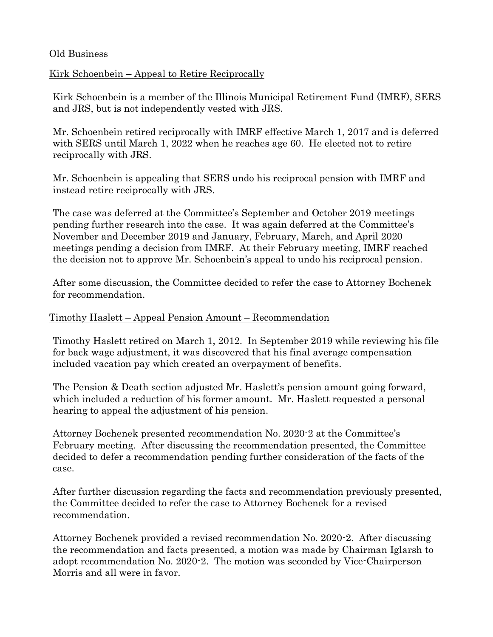## Old Business

# Kirk Schoenbein – Appeal to Retire Reciprocally

Kirk Schoenbein is a member of the Illinois Municipal Retirement Fund (IMRF), SERS and JRS, but is not independently vested with JRS.

Mr. Schoenbein retired reciprocally with IMRF effective March 1, 2017 and is deferred with SERS until March 1, 2022 when he reaches age 60. He elected not to retire reciprocally with JRS.

Mr. Schoenbein is appealing that SERS undo his reciprocal pension with IMRF and instead retire reciprocally with JRS.

The case was deferred at the Committee's September and October 2019 meetings pending further research into the case. It was again deferred at the Committee's November and December 2019 and January, February, March, and April 2020 meetings pending a decision from IMRF. At their February meeting, IMRF reached the decision not to approve Mr. Schoenbein's appeal to undo his reciprocal pension.

After some discussion, the Committee decided to refer the case to Attorney Bochenek for recommendation.

## Timothy Haslett – Appeal Pension Amount – Recommendation

Timothy Haslett retired on March 1, 2012. In September 2019 while reviewing his file for back wage adjustment, it was discovered that his final average compensation included vacation pay which created an overpayment of benefits.

The Pension & Death section adjusted Mr. Haslett's pension amount going forward, which included a reduction of his former amount. Mr. Haslett requested a personal hearing to appeal the adjustment of his pension.

Attorney Bochenek presented recommendation No. 2020-2 at the Committee's February meeting. After discussing the recommendation presented, the Committee decided to defer a recommendation pending further consideration of the facts of the case.

After further discussion regarding the facts and recommendation previously presented, the Committee decided to refer the case to Attorney Bochenek for a revised recommendation.

Attorney Bochenek provided a revised recommendation No. 2020-2. After discussing the recommendation and facts presented, a motion was made by Chairman Iglarsh to adopt recommendation No. 2020-2. The motion was seconded by Vice-Chairperson Morris and all were in favor.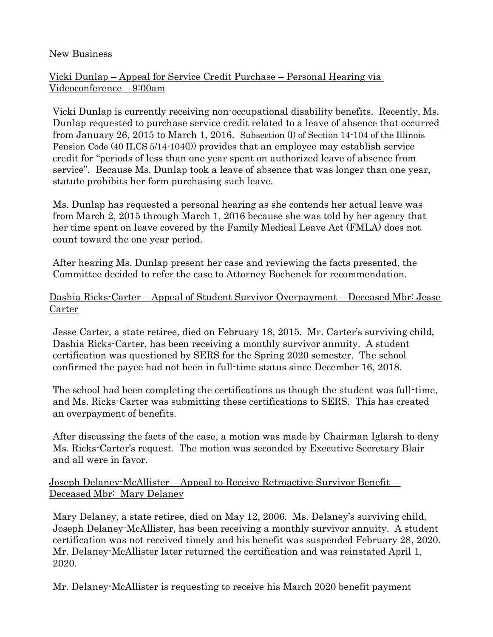### New Business

## Vicki Dunlap – Appeal for Service Credit Purchase – Personal Hearing via Videoconference – 9:00am

Vicki Dunlap is currently receiving non-occupational disability benefits. Recently, Ms. Dunlap requested to purchase service credit related to a leave of absence that occurred from January 26, 2015 to March 1, 2016. Subsection (l) of Section 14-104 of the Illinois Pension Code (40 ILCS 5/14-104(l)) provides that an employee may establish service credit for "periods of less than one year spent on authorized leave of absence from service". Because Ms. Dunlap took a leave of absence that was longer than one year, statute prohibits her form purchasing such leave.

Ms. Dunlap has requested a personal hearing as she contends her actual leave was from March 2, 2015 through March 1, 2016 because she was told by her agency that her time spent on leave covered by the Family Medical Leave Act (FMLA) does not count toward the one year period.

After hearing Ms. Dunlap present her case and reviewing the facts presented, the Committee decided to refer the case to Attorney Bochenek for recommendation.

Dashia Ricks-Carter – Appeal of Student Survivor Overpayment – Deceased Mbr: Jesse Carter

Jesse Carter, a state retiree, died on February 18, 2015. Mr. Carter's surviving child, Dashia Ricks-Carter, has been receiving a monthly survivor annuity. A student certification was questioned by SERS for the Spring 2020 semester. The school confirmed the payee had not been in full-time status since December 16, 2018.

The school had been completing the certifications as though the student was full-time, and Ms. Ricks-Carter was submitting these certifications to SERS. This has created an overpayment of benefits.

After discussing the facts of the case, a motion was made by Chairman Iglarsh to deny Ms. Ricks-Carter's request. The motion was seconded by Executive Secretary Blair and all were in favor.

Joseph Delaney-McAllister – Appeal to Receive Retroactive Survivor Benefit – Deceased Mbr: Mary Delaney

Mary Delaney, a state retiree, died on May 12, 2006. Ms. Delaney's surviving child, Joseph Delaney-McAllister, has been receiving a monthly survivor annuity. A student certification was not received timely and his benefit was suspended February 28, 2020. Mr. Delaney-McAllister later returned the certification and was reinstated April 1, 2020.

Mr. Delaney-McAllister is requesting to receive his March 2020 benefit payment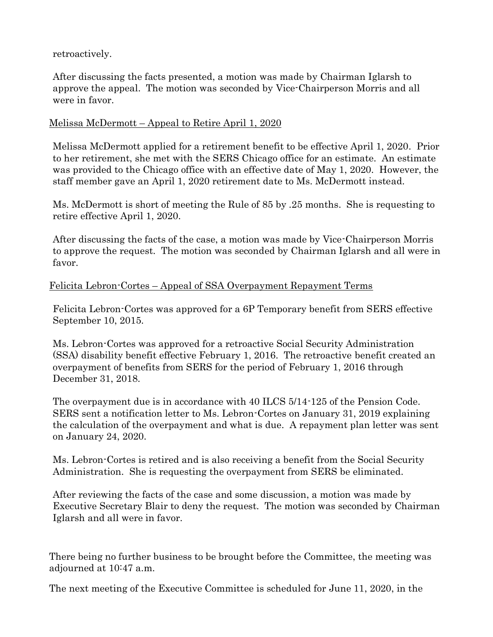retroactively.

After discussing the facts presented, a motion was made by Chairman Iglarsh to approve the appeal. The motion was seconded by Vice-Chairperson Morris and all were in favor.

# Melissa McDermott – Appeal to Retire April 1, 2020

Melissa McDermott applied for a retirement benefit to be effective April 1, 2020. Prior to her retirement, she met with the SERS Chicago office for an estimate. An estimate was provided to the Chicago office with an effective date of May 1, 2020. However, the staff member gave an April 1, 2020 retirement date to Ms. McDermott instead.

Ms. McDermott is short of meeting the Rule of 85 by .25 months. She is requesting to retire effective April 1, 2020.

After discussing the facts of the case, a motion was made by Vice-Chairperson Morris to approve the request. The motion was seconded by Chairman Iglarsh and all were in favor.

Felicita Lebron-Cortes – Appeal of SSA Overpayment Repayment Terms

Felicita Lebron-Cortes was approved for a 6P Temporary benefit from SERS effective September 10, 2015.

Ms. Lebron-Cortes was approved for a retroactive Social Security Administration (SSA) disability benefit effective February 1, 2016. The retroactive benefit created an overpayment of benefits from SERS for the period of February 1, 2016 through December 31, 2018.

The overpayment due is in accordance with 40 ILCS 5/14-125 of the Pension Code. SERS sent a notification letter to Ms. Lebron-Cortes on January 31, 2019 explaining the calculation of the overpayment and what is due. A repayment plan letter was sent on January 24, 2020.

Ms. Lebron-Cortes is retired and is also receiving a benefit from the Social Security Administration. She is requesting the overpayment from SERS be eliminated.

After reviewing the facts of the case and some discussion, a motion was made by Executive Secretary Blair to deny the request. The motion was seconded by Chairman Iglarsh and all were in favor.

There being no further business to be brought before the Committee, the meeting was adjourned at 10:47 a.m.

The next meeting of the Executive Committee is scheduled for June 11, 2020, in the